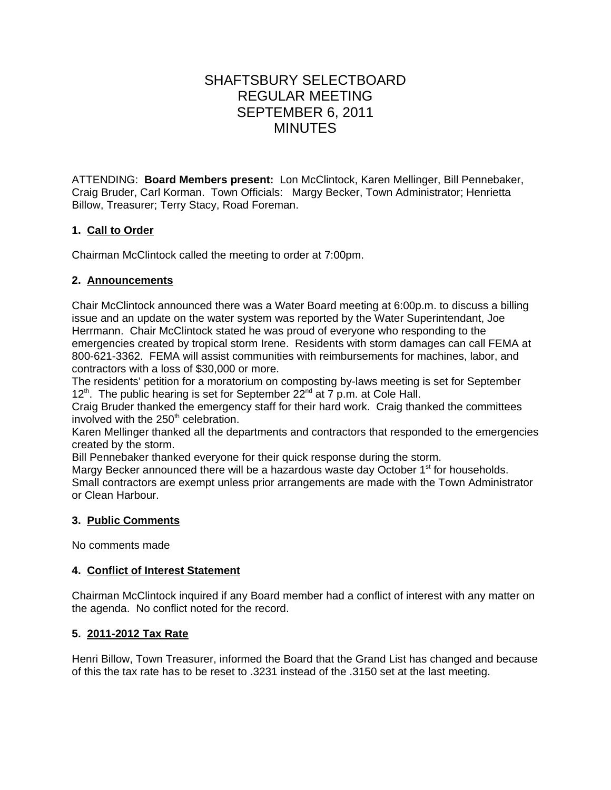# SHAFTSBURY SELECTBOARD REGULAR MEETING SEPTEMBER 6, 2011 MINUTES

ATTENDING: **Board Members present:** Lon McClintock, Karen Mellinger, Bill Pennebaker, Craig Bruder, Carl Korman. Town Officials: Margy Becker, Town Administrator; Henrietta Billow, Treasurer; Terry Stacy, Road Foreman.

# **1. Call to Order**

Chairman McClintock called the meeting to order at 7:00pm.

# **2. Announcements**

Chair McClintock announced there was a Water Board meeting at 6:00p.m. to discuss a billing issue and an update on the water system was reported by the Water Superintendant, Joe Herrmann. Chair McClintock stated he was proud of everyone who responding to the emergencies created by tropical storm Irene. Residents with storm damages can call FEMA at 800-621-3362. FEMA will assist communities with reimbursements for machines, labor, and contractors with a loss of \$30,000 or more.

The residents' petition for a moratorium on composting by-laws meeting is set for September  $12<sup>th</sup>$ . The public hearing is set for September  $22<sup>nd</sup>$  at 7 p.m. at Cole Hall.

Craig Bruder thanked the emergency staff for their hard work. Craig thanked the committees involved with the  $250<sup>th</sup>$  celebration.

Karen Mellinger thanked all the departments and contractors that responded to the emergencies created by the storm.

Bill Pennebaker thanked everyone for their quick response during the storm.

Margy Becker announced there will be a hazardous waste day October  $1<sup>st</sup>$  for households. Small contractors are exempt unless prior arrangements are made with the Town Administrator or Clean Harbour.

# **3. Public Comments**

No comments made

# **4. Conflict of Interest Statement**

Chairman McClintock inquired if any Board member had a conflict of interest with any matter on the agenda. No conflict noted for the record.

# **5. 2011-2012 Tax Rate**

Henri Billow, Town Treasurer, informed the Board that the Grand List has changed and because of this the tax rate has to be reset to .3231 instead of the .3150 set at the last meeting.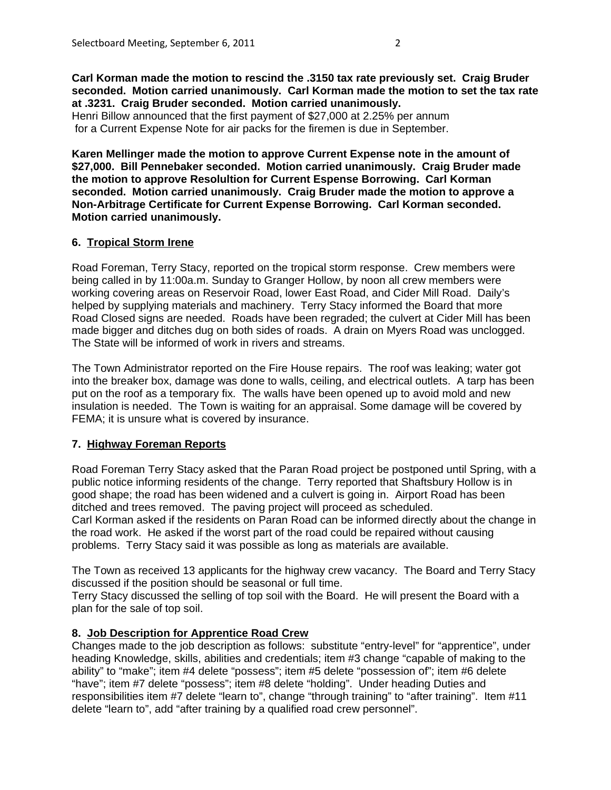**Carl Korman made the motion to rescind the .3150 tax rate previously set. Craig Bruder seconded. Motion carried unanimously. Carl Korman made the motion to set the tax rate at .3231. Craig Bruder seconded. Motion carried unanimously.** Henri Billow announced that the first payment of \$27,000 at 2.25% per annum

for a Current Expense Note for air packs for the firemen is due in September.

**Karen Mellinger made the motion to approve Current Expense note in the amount of \$27,000. Bill Pennebaker seconded. Motion carried unanimously. Craig Bruder made the motion to approve Resolultion for Current Espense Borrowing. Carl Korman seconded. Motion carried unanimously. Craig Bruder made the motion to approve a Non-Arbitrage Certificate for Current Expense Borrowing. Carl Korman seconded. Motion carried unanimously.**

### **6. Tropical Storm Irene**

Road Foreman, Terry Stacy, reported on the tropical storm response. Crew members were being called in by 11:00a.m. Sunday to Granger Hollow, by noon all crew members were working covering areas on Reservoir Road, lower East Road, and Cider Mill Road. Daily's helped by supplying materials and machinery. Terry Stacy informed the Board that more Road Closed signs are needed. Roads have been regraded; the culvert at Cider Mill has been made bigger and ditches dug on both sides of roads. A drain on Myers Road was unclogged. The State will be informed of work in rivers and streams.

The Town Administrator reported on the Fire House repairs. The roof was leaking; water got into the breaker box, damage was done to walls, ceiling, and electrical outlets. A tarp has been put on the roof as a temporary fix. The walls have been opened up to avoid mold and new insulation is needed. The Town is waiting for an appraisal. Some damage will be covered by FEMA; it is unsure what is covered by insurance.

### **7. Highway Foreman Reports**

Road Foreman Terry Stacy asked that the Paran Road project be postponed until Spring, with a public notice informing residents of the change. Terry reported that Shaftsbury Hollow is in good shape; the road has been widened and a culvert is going in. Airport Road has been ditched and trees removed. The paving project will proceed as scheduled.

Carl Korman asked if the residents on Paran Road can be informed directly about the change in the road work. He asked if the worst part of the road could be repaired without causing problems. Terry Stacy said it was possible as long as materials are available.

The Town as received 13 applicants for the highway crew vacancy. The Board and Terry Stacy discussed if the position should be seasonal or full time.

Terry Stacy discussed the selling of top soil with the Board. He will present the Board with a plan for the sale of top soil.

### **8. Job Description for Apprentice Road Crew**

Changes made to the job description as follows: substitute "entry-level" for "apprentice", under heading Knowledge, skills, abilities and credentials; item #3 change "capable of making to the ability" to "make"; item #4 delete "possess"; item #5 delete "possession of"; item #6 delete "have"; item #7 delete "possess"; item #8 delete "holding". Under heading Duties and responsibilities item #7 delete "learn to", change "through training" to "after training". Item #11 delete "learn to", add "after training by a qualified road crew personnel".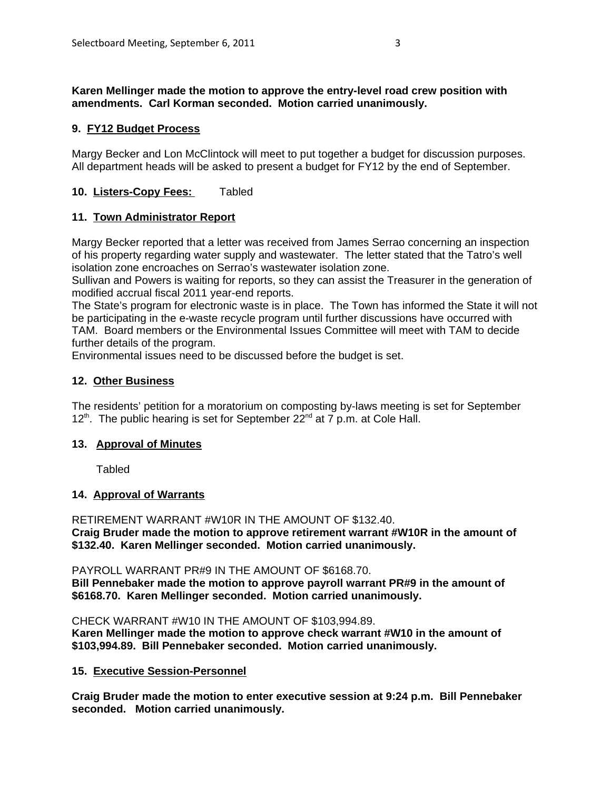#### **Karen Mellinger made the motion to approve the entry-level road crew position with amendments. Carl Korman seconded. Motion carried unanimously.**

# **9. FY12 Budget Process**

Margy Becker and Lon McClintock will meet to put together a budget for discussion purposes. All department heads will be asked to present a budget for FY12 by the end of September.

# **10. Listers-Copy Fees:** Tabled

## **11. Town Administrator Report**

Margy Becker reported that a letter was received from James Serrao concerning an inspection of his property regarding water supply and wastewater. The letter stated that the Tatro's well isolation zone encroaches on Serrao's wastewater isolation zone.

Sullivan and Powers is waiting for reports, so they can assist the Treasurer in the generation of modified accrual fiscal 2011 year-end reports.

The State's program for electronic waste is in place. The Town has informed the State it will not be participating in the e-waste recycle program until further discussions have occurred with TAM. Board members or the Environmental Issues Committee will meet with TAM to decide further details of the program.

Environmental issues need to be discussed before the budget is set.

## **12. Other Business**

The residents' petition for a moratorium on composting by-laws meeting is set for September  $12<sup>th</sup>$ . The public hearing is set for September 22<sup>nd</sup> at 7 p.m. at Cole Hall.

### **13. Approval of Minutes**

Tabled

### **14. Approval of Warrants**

RETIREMENT WARRANT #W10R IN THE AMOUNT OF \$132.40. **Craig Bruder made the motion to approve retirement warrant #W10R in the amount of \$132.40. Karen Mellinger seconded. Motion carried unanimously.**

PAYROLL WARRANT PR#9 IN THE AMOUNT OF \$6168.70. **Bill Pennebaker made the motion to approve payroll warrant PR#9 in the amount of \$6168.70. Karen Mellinger seconded. Motion carried unanimously.**

CHECK WARRANT #W10 IN THE AMOUNT OF \$103,994.89. **Karen Mellinger made the motion to approve check warrant #W10 in the amount of \$103,994.89. Bill Pennebaker seconded. Motion carried unanimously.**

**15. Executive Session-Personnel**

**Craig Bruder made the motion to enter executive session at 9:24 p.m. Bill Pennebaker seconded. Motion carried unanimously.**